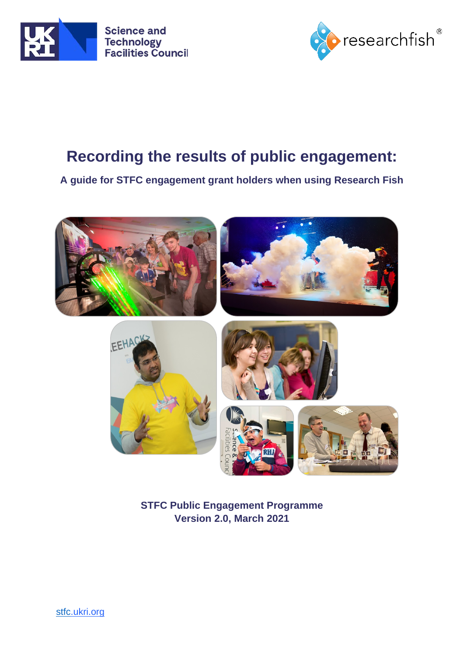



# **Recording the results of public engagement:**

## **A guide for STFC engagement grant holders when using Research Fish**



**STFC Public Engagement Programme Version 2.0, March 2021**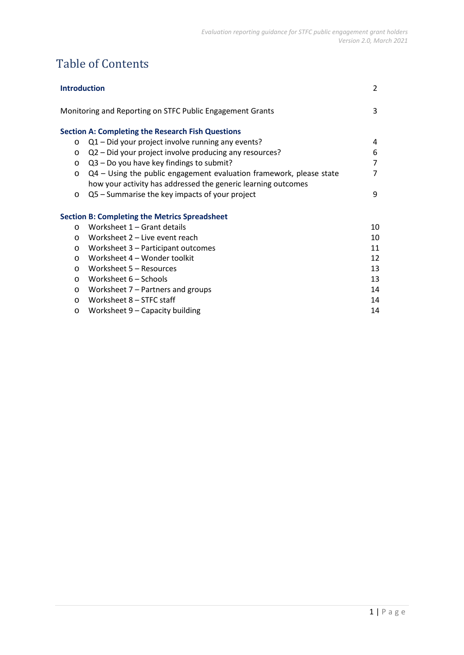## Table of Contents

| <b>Introduction</b> |                                                                     | 2              |
|---------------------|---------------------------------------------------------------------|----------------|
|                     | Monitoring and Reporting on STFC Public Engagement Grants           | 3              |
|                     | <b>Section A: Completing the Research Fish Questions</b>            |                |
| $\circ$             | Q1 - Did your project involve running any events?                   | 4              |
| $\circ$             | Q2 - Did your project involve producing any resources?              | 6              |
| $\circ$             | Q3 - Do you have key findings to submit?                            | $\overline{7}$ |
| $\circ$             | Q4 - Using the public engagement evaluation framework, please state | 7              |
|                     | how your activity has addressed the generic learning outcomes       |                |
| $\circ$             | Q5 - Summarise the key impacts of your project                      | 9              |
|                     | <b>Section B: Completing the Metrics Spreadsheet</b>                |                |
| $\circ$             | Worksheet 1 – Grant details                                         | 10             |
| $\circ$             | Worksheet 2 – Live event reach                                      | 10             |
| $\circ$             | Worksheet 3 - Participant outcomes                                  | 11             |
| $\circ$             | Worksheet 4 - Wonder toolkit                                        | 12             |
| $\circ$             | Worksheet 5 – Resources                                             | 13             |
| $\circ$             | Worksheet 6 – Schools                                               | 13             |
| $\circ$             | Worksheet $7$ – Partners and groups                                 | 14             |
| $\circ$             | Worksheet 8 – STFC staff                                            | 14             |
| $\circ$             | Worksheet 9 - Capacity building                                     | 14             |
|                     |                                                                     |                |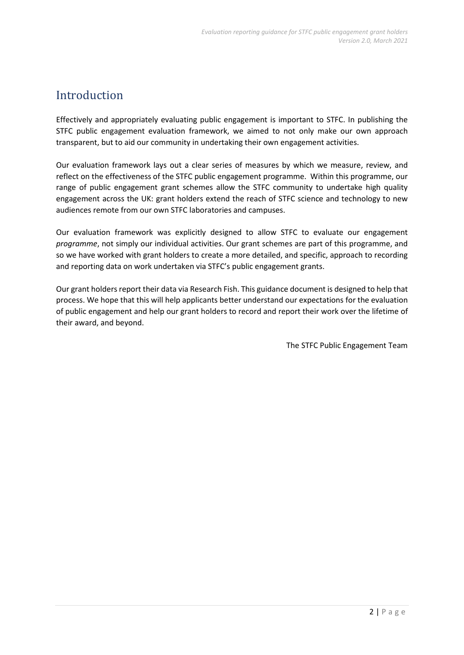## Introduction

Effectively and appropriately evaluating public engagement is important to STFC. In publishing the STFC public engagement evaluation framework, we aimed to not only make our own approach transparent, but to aid our community in undertaking their own engagement activities.

Our evaluation framework lays out a clear series of measures by which we measure, review, and reflect on the effectiveness of the STFC public engagement programme. Within this programme, our range of public engagement grant schemes allow the STFC community to undertake high quality engagement across the UK: grant holders extend the reach of STFC science and technology to new audiences remote from our own STFC laboratories and campuses.

Our evaluation framework was explicitly designed to allow STFC to evaluate our engagement *programme*, not simply our individual activities. Our grant schemes are part of this programme, and so we have worked with grant holders to create a more detailed, and specific, approach to recording and reporting data on work undertaken via STFC's public engagement grants.

Our grant holders report their data via Research Fish. This guidance document is designed to help that process. We hope that this will help applicants better understand our expectations for the evaluation of public engagement and help our grant holders to record and report their work over the lifetime of their award, and beyond.

The STFC Public Engagement Team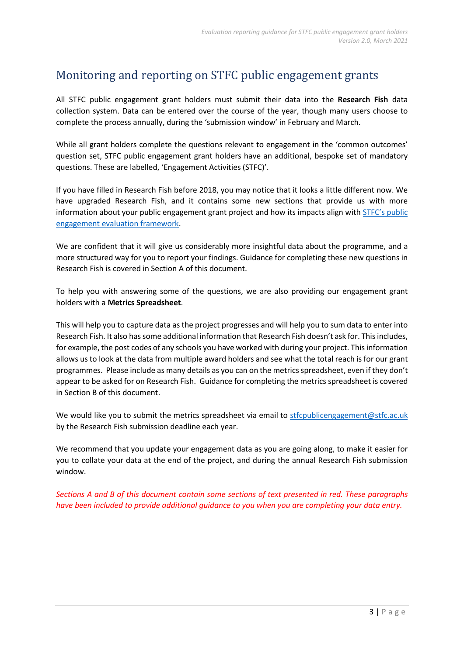## Monitoring and reporting on STFC public engagement grants

All STFC public engagement grant holders must submit their data into the **Research Fish** data collection system. Data can be entered over the course of the year, though many users choose to complete the process annually, during the 'submission window' in February and March.

While all grant holders complete the questions relevant to engagement in the 'common outcomes' question set, STFC public engagement grant holders have an additional, bespoke set of mandatory questions. These are labelled, 'Engagement Activities (STFC)'.

If you have filled in Research Fish before 2018, you may notice that it looks a little different now. We have upgraded Research Fish, and it contains some new sections that provide us with more information about your public engagement grant project and how its impacts align with **STFC's** public [engagement evaluation framework.](https://stfc.ukri.org/files/corporate-publications/public-engagement-evaluation-framework/)

We are confident that it will give us considerably more insightful data about the programme, and a more structured way for you to report your findings. Guidance for completing these new questions in Research Fish is covered in Section A of this document.

To help you with answering some of the questions, we are also providing our engagement grant holders with a **Metrics Spreadsheet**.

This will help you to capture data as the project progresses and will help you to sum data to enter into Research Fish. It also hassome additional information that Research Fish doesn't ask for. This includes, for example, the post codes of any schools you have worked with during your project. This information allows us to look at the data from multiple award holders and see what the total reach is for our grant programmes. Please include as many details as you can on the metrics spreadsheet, even if they don't appear to be asked for on Research Fish. Guidance for completing the metrics spreadsheet is covered in Section B of this document.

We would like you to submit the metrics spreadsheet via email to [stfcpublicengagement@stfc.ac.uk](mailto:stfcpublicengagement@stfc.ac.uk) by the Research Fish submission deadline each year.

We recommend that you update your engagement data as you are going along, to make it easier for you to collate your data at the end of the project, and during the annual Research Fish submission window.

*Sections A and B of this document contain some sections of text presented in red. These paragraphs have been included to provide additional guidance to you when you are completing your data entry.*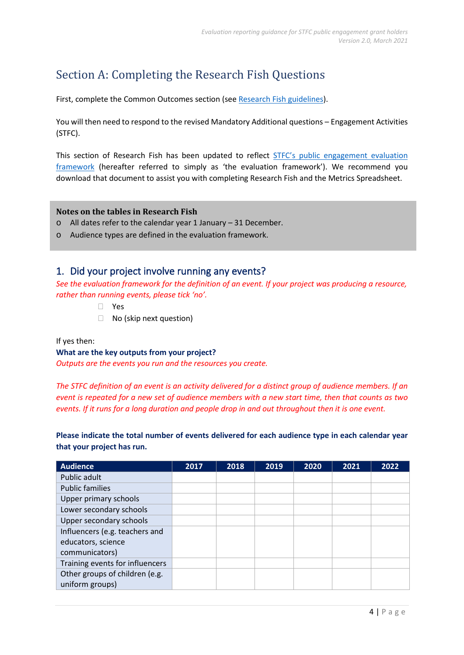## Section A: Completing the Research Fish Questions

First, complete the Common Outcomes section (see Research [Fish guidelines\)](https://stfc.ukri.org/files/guidance-research-fish/).

You will then need to respond to the revised Mandatory Additional questions – Engagement Activities (STFC).

This section of Research Fish has been updated to reflect **STFC's public engagement evaluation** [framework](https://stfc.ukri.org/files/corporate-publications/public-engagement-evaluation-framework/) (hereafter referred to simply as 'the evaluation framework'). We recommend you download that document to assist you with completing Research Fish and the Metrics Spreadsheet.

#### **Notes on the tables in Research Fish**

- o All dates refer to the calendar year 1 January 31 December.
- o Audience types are defined in the evaluation framework.

## 1. Did your project involve running any events?

*See the evaluation framework for the definition of an event. If your project was producing a resource, rather than running events, please tick 'no'.*

- Yes
- □ No (skip next question)

#### If yes then:

#### **What are the key outputs from your project?**

*Outputs are the events you run and the resources you create.*

*The STFC definition of an event is an activity delivered for a distinct group of audience members. If an event is repeated for a new set of audience members with a new start time, then that counts as two events. If it runs for a long duration and people drop in and out throughout then it is one event.*

**Please indicate the total number of events delivered for each audience type in each calendar year that your project has run.**

| <b>Audience</b>                 | 2017 | 2018 | 2019 | 2020 | 2021 | 2022 |
|---------------------------------|------|------|------|------|------|------|
| Public adult                    |      |      |      |      |      |      |
| <b>Public families</b>          |      |      |      |      |      |      |
| Upper primary schools           |      |      |      |      |      |      |
| Lower secondary schools         |      |      |      |      |      |      |
| Upper secondary schools         |      |      |      |      |      |      |
| Influencers (e.g. teachers and  |      |      |      |      |      |      |
| educators, science              |      |      |      |      |      |      |
| communicators)                  |      |      |      |      |      |      |
| Training events for influencers |      |      |      |      |      |      |
| Other groups of children (e.g.  |      |      |      |      |      |      |
| uniform groups)                 |      |      |      |      |      |      |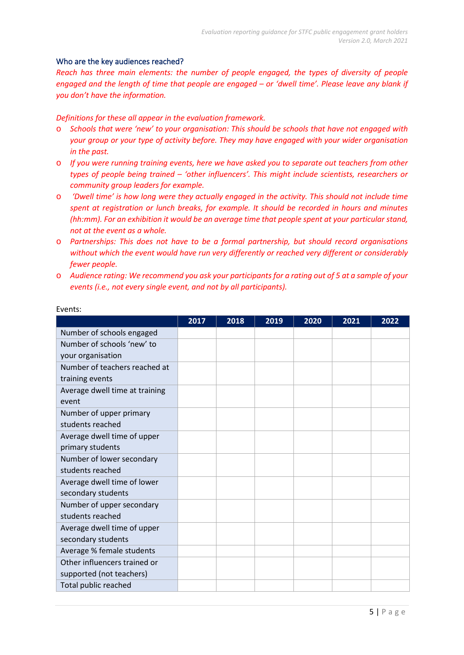#### Who are the key audiences reached?

*Reach has three main elements: the number of people engaged, the types of diversity of people engaged and the length of time that people are engaged – or 'dwell time'. Please leave any blank if you don't have the information.*

*Definitions for these all appear in the evaluation framework.* 

- o *Schools that were 'new' to your organisation: This should be schools that have not engaged with your group or your type of activity before. They may have engaged with your wider organisation in the past.*
- o *If you were running training events, here we have asked you to separate out teachers from other types of people being trained – 'other influencers'. This might include scientists, researchers or community group leaders for example.*
- o *'Dwell time' is how long were they actually engaged in the activity. This should not include time spent at registration or lunch breaks, for example. It should be recorded in hours and minutes (hh:mm). For an exhibition it would be an average time that people spent at your particular stand, not at the event as a whole.*
- o *Partnerships: This does not have to be a formal partnership, but should record organisations without which the event would have run very differently or reached very different or considerably fewer people.*
- o *Audience rating: We recommend you ask your participants for a rating out of 5 at a sample of your events (i.e., not every single event, and not by all participants).*

|                                | 2017 | 2018 | 2019 | 2020 | 2021 | 2022 |
|--------------------------------|------|------|------|------|------|------|
| Number of schools engaged      |      |      |      |      |      |      |
| Number of schools 'new' to     |      |      |      |      |      |      |
| your organisation              |      |      |      |      |      |      |
| Number of teachers reached at  |      |      |      |      |      |      |
| training events                |      |      |      |      |      |      |
| Average dwell time at training |      |      |      |      |      |      |
| event                          |      |      |      |      |      |      |
| Number of upper primary        |      |      |      |      |      |      |
| students reached               |      |      |      |      |      |      |
| Average dwell time of upper    |      |      |      |      |      |      |
| primary students               |      |      |      |      |      |      |
| Number of lower secondary      |      |      |      |      |      |      |
| students reached               |      |      |      |      |      |      |
| Average dwell time of lower    |      |      |      |      |      |      |
| secondary students             |      |      |      |      |      |      |
| Number of upper secondary      |      |      |      |      |      |      |
| students reached               |      |      |      |      |      |      |
| Average dwell time of upper    |      |      |      |      |      |      |
| secondary students             |      |      |      |      |      |      |
| Average % female students      |      |      |      |      |      |      |
| Other influencers trained or   |      |      |      |      |      |      |
| supported (not teachers)       |      |      |      |      |      |      |
| Total public reached           |      |      |      |      |      |      |

#### Events: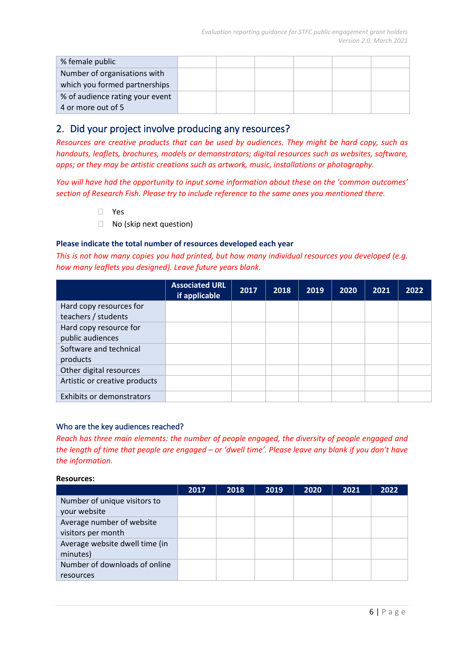| % female public                 |  |  |  |
|---------------------------------|--|--|--|
| Number of organisations with    |  |  |  |
| which you formed partnerships   |  |  |  |
| % of audience rating your event |  |  |  |
| 4 or more out of 5              |  |  |  |

## 2. Did your project involve producing any resources?

*Resources are creative products that can be used by audiences. They might be hard copy, such as handouts, leaflets, brochures, models or demonstrators; digital resources such as websites, software, apps; or they may be artistic creations such as artwork, music, installations or photography.*

*You will have had the opportunity to input some information about these on the 'common outcomes' section of Research Fish. Please try to include reference to the same ones you mentioned there.*

- Yes
- □ No (skip next question)

#### **Please indicate the total number of resources developed each year**

*This is not how many copies you had printed, but how many individual resources you developed (e.g. how many leaflets you designed). Leave future years blank.* 

|                               | <b>Associated URL</b><br>if applicable | 2017 | 2018 | 2019 | 2020 | 2021 | 2022 |
|-------------------------------|----------------------------------------|------|------|------|------|------|------|
| Hard copy resources for       |                                        |      |      |      |      |      |      |
| teachers / students           |                                        |      |      |      |      |      |      |
| Hard copy resource for        |                                        |      |      |      |      |      |      |
| public audiences              |                                        |      |      |      |      |      |      |
| Software and technical        |                                        |      |      |      |      |      |      |
| products                      |                                        |      |      |      |      |      |      |
| Other digital resources       |                                        |      |      |      |      |      |      |
| Artistic or creative products |                                        |      |      |      |      |      |      |
| Exhibits or demonstrators     |                                        |      |      |      |      |      |      |

#### Who are the key audiences reached?

*Reach has three main elements: the number of people engaged, the diversity of people engaged and the length of time that people are engaged – or 'dwell time'. Please leave any blank if you don't have the information.*

#### **Resources:**

|                                | 2017 | 2018 | 2019 | 2020 | 2021 | 2022 |
|--------------------------------|------|------|------|------|------|------|
| Number of unique visitors to   |      |      |      |      |      |      |
| your website                   |      |      |      |      |      |      |
| Average number of website      |      |      |      |      |      |      |
| visitors per month             |      |      |      |      |      |      |
| Average website dwell time (in |      |      |      |      |      |      |
| minutes)                       |      |      |      |      |      |      |
| Number of downloads of online  |      |      |      |      |      |      |
| resources                      |      |      |      |      |      |      |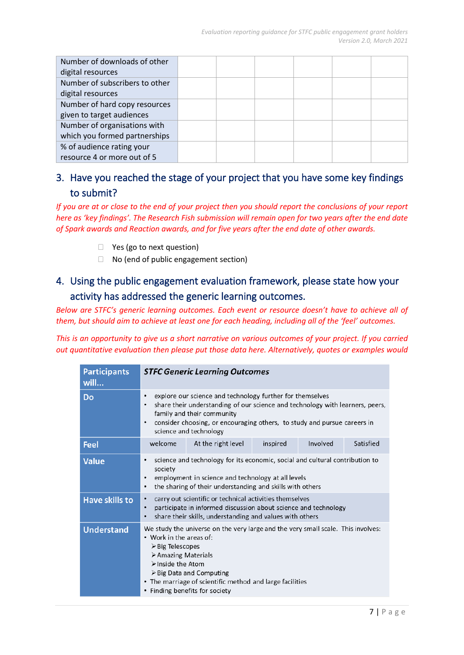| Number of downloads of other   |  |  |  |
|--------------------------------|--|--|--|
| digital resources              |  |  |  |
| Number of subscribers to other |  |  |  |
| digital resources              |  |  |  |
| Number of hard copy resources  |  |  |  |
| given to target audiences      |  |  |  |
| Number of organisations with   |  |  |  |
| which you formed partnerships  |  |  |  |
| % of audience rating your      |  |  |  |
| resource 4 or more out of 5    |  |  |  |

## 3. Have you reached the stage of your project that you have some key findings to submit?

*If you are at or close to the end of your project then you should report the conclusions of your report here as 'key findings'. The Research Fish submission will remain open for two years after the end date of Spark awards and Reaction awards, and for five years after the end date of other awards.*

- □ Yes (go to next question)
- □ No (end of public engagement section)

## 4. Using the public engagement evaluation framework, please state how your activity has addressed the generic learning outcomes.

*Below are STFC's generic learning outcomes. Each event or resource doesn't have to achieve all of them, but should aim to achieve at least one for each heading, including all of the 'feel' outcomes.* 

*This is an opportunity to give us a short narrative on various outcomes of your project. If you carried out quantitative evaluation then please put those data here. Alternatively, quotes or examples would* 

| <b>Participants</b><br>will | <b>STFC Generic Learning Outcomes</b>                                                                                                                                                                                                                                                                                                              |                                                                                                                                                                                                 |          |          |           |  |  |
|-----------------------------|----------------------------------------------------------------------------------------------------------------------------------------------------------------------------------------------------------------------------------------------------------------------------------------------------------------------------------------------------|-------------------------------------------------------------------------------------------------------------------------------------------------------------------------------------------------|----------|----------|-----------|--|--|
| Do                          | explore our science and technology further for themselves<br>٠<br>share their understanding of our science and technology with learners, peers,<br>$\bullet$<br>family and their community<br>consider choosing, or encouraging others, to study and pursue careers in<br>$\bullet$<br>science and technology                                      |                                                                                                                                                                                                 |          |          |           |  |  |
| Feel                        | welcome                                                                                                                                                                                                                                                                                                                                            | At the right level                                                                                                                                                                              | inspired | Involved | Satisfied |  |  |
| <b>Value</b>                | $\bullet$<br>society<br>٠<br>$\bullet$                                                                                                                                                                                                                                                                                                             | science and technology for its economic, social and cultural contribution to<br>employment in science and technology at all levels<br>the sharing of their understanding and skills with others |          |          |           |  |  |
| <b>Have skills to</b>       | carry out scientific or technical activities themselves<br>$\bullet$<br>participate in informed discussion about science and technology<br>$\bullet$<br>share their skills, understanding and values with others<br>$\bullet$                                                                                                                      |                                                                                                                                                                                                 |          |          |           |  |  |
| <b>Understand</b>           | We study the universe on the very large and the very small scale. This involves:<br>• Work in the areas of:<br>$\triangleright$ Big Telescopes<br>> Amazing Materials<br>$\triangleright$ Inside the Atom<br>$\triangleright$ Big Data and Computing<br>• The marriage of scientific method and large facilities<br>• Finding benefits for society |                                                                                                                                                                                                 |          |          |           |  |  |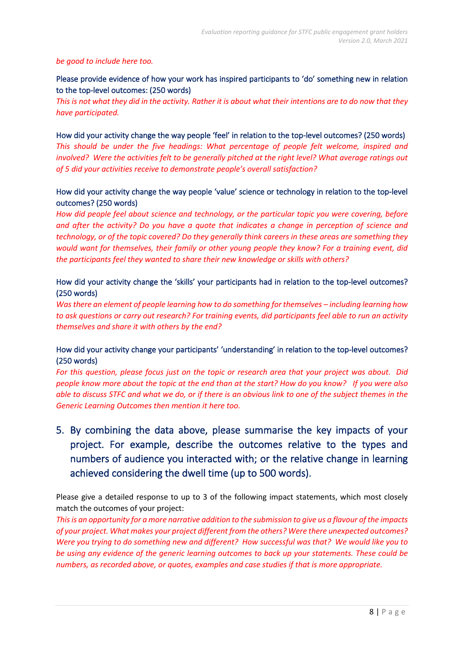#### *be good to include here too.*

### Please provide evidence of how your work has inspired participants to 'do' something new in relation to the top-level outcomes: (250 words)

*This is not what they did in the activity. Rather it is about what their intentions are to do now that they have participated.* 

How did your activity change the way people 'feel' in relation to the top-level outcomes? (250 words) *This should be under the five headings: What percentage of people felt welcome, inspired and involved? Were the activities felt to be generally pitched at the right level? What average ratings out of 5 did your activities receive to demonstrate people's overall satisfaction?*

### How did your activity change the way people 'value' science or technology in relation to the top-level outcomes? (250 words)

*How did people feel about science and technology, or the particular topic you were covering, before and after the activity? Do you have a quote that indicates a change in perception of science and technology, or of the topic covered? Do they generally think careers in these areas are something they would want for themselves, their family or other young people they know? For a training event, did the participants feel they wanted to share their new knowledge or skills with others?*

### How did your activity change the 'skills' your participants had in relation to the top-level outcomes? (250 words)

*Was there an element of people learning how to do something for themselves – including learning how to ask questions or carry out research? For training events, did participants feel able to run an activity themselves and share it with others by the end?*

### How did your activity change your participants' 'understanding' in relation to the top-level outcomes? (250 words)

*For this question, please focus just on the topic or research area that your project was about. Did people know more about the topic at the end than at the start? How do you know? If you were also able to discuss STFC and what we do, or if there is an obvious link to one of the subject themes in the Generic Learning Outcomes then mention it here too.*

5. By combining the data above, please summarise the key impacts of your project. For example, describe the outcomes relative to the types and numbers of audience you interacted with; or the relative change in learning achieved considering the dwell time (up to 500 words).

Please give a detailed response to up to 3 of the following impact statements, which most closely match the outcomes of your project:

*This is an opportunity for a more narrative addition to the submission to give us a flavour of the impacts of your project. What makes your project different from the others? Were there unexpected outcomes? Were you trying to do something new and different? How successful was that? We would like you to be using any evidence of the generic learning outcomes to back up your statements. These could be numbers, as recorded above, or quotes, examples and case studies if that is more appropriate.*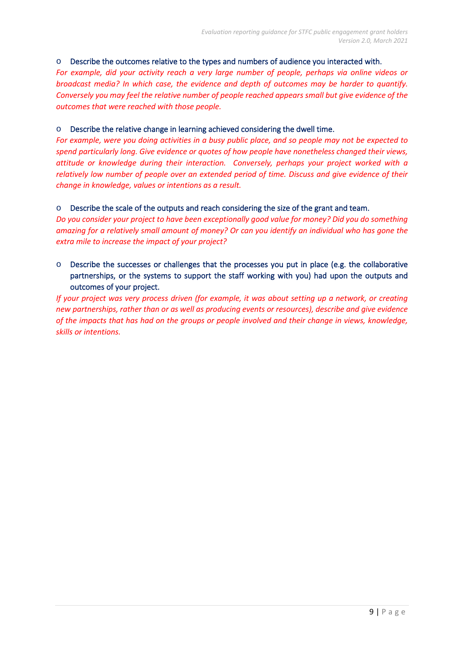#### o Describe the outcomes relative to the types and numbers of audience you interacted with.

*For example, did your activity reach a very large number of people, perhaps via online videos or broadcast media? In which case, the evidence and depth of outcomes may be harder to quantify. Conversely you may feel the relative number of people reached appears small but give evidence of the outcomes that were reached with those people.* 

#### o Describe the relative change in learning achieved considering the dwell time.

*For example, were you doing activities in a busy public place, and so people may not be expected to spend particularly long. Give evidence or quotes of how people have nonetheless changed their views, attitude or knowledge during their interaction. Conversely, perhaps your project worked with a relatively low number of people over an extended period of time. Discuss and give evidence of their change in knowledge, values or intentions as a result.* 

#### o Describe the scale of the outputs and reach considering the size of the grant and team.

*Do you consider your project to have been exceptionally good value for money? Did you do something amazing for a relatively small amount of money? Or can you identify an individual who has gone the extra mile to increase the impact of your project?*

### o Describe the successes or challenges that the processes you put in place (e.g. the collaborative partnerships, or the systems to support the staff working with you) had upon the outputs and outcomes of your project.

*If your project was very process driven (for example, it was about setting up a network, or creating new partnerships, rather than or as well as producing events or resources), describe and give evidence of the impacts that has had on the groups or people involved and their change in views, knowledge, skills or intentions.*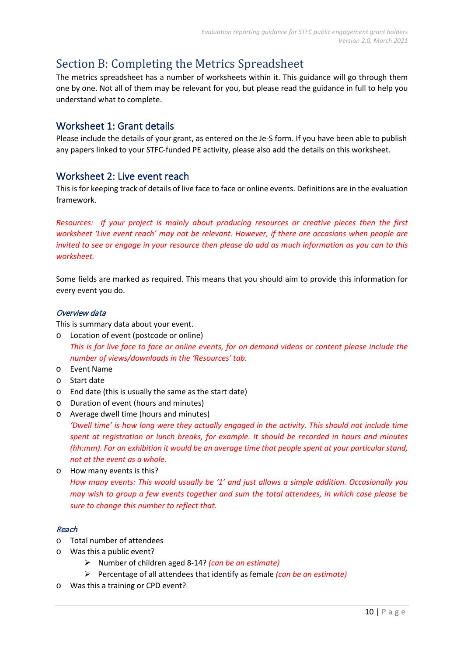## Section B: Completing the Metrics Spreadsheet

The metrics spreadsheet has a number of worksheets within it. This guidance will go through them one by one. Not all of them may be relevant for you, but please read the guidance in full to help you understand what to complete.

## Worksheet 1: Grant details

Please include the details of your grant, as entered on the Je-S form. If you have been able to publish any papers linked to your STFC-funded PE activity, please also add the details on this worksheet.

## Worksheet 2: Live event reach

This is for keeping track of details of live face to face or online events. Definitions are in the evaluation framework.

*Resources: If your project is mainly about producing resources or creative pieces then the first worksheet 'Live event reach' may not be relevant. However, if there are occasions when people are invited to see or engage in your resource then please do add as much information as you can to this worksheet.*

Some fields are marked as required. This means that you should aim to provide this information for every event you do.

#### Overview data

This is summary data about your event.

- o Location of event (postcode or online) *This is for live face to face or online events, for on demand videos or content please include the number of views/downloads in the 'Resources' tab.*
- o Event Name
- o Start date
- o End date (this is usually the same as the start date)
- o Duration of event (hours and minutes)
- o Average dwell time (hours and minutes)

*'Dwell time' is how long were they actually engaged in the activity. This should not include time spent at registration or lunch breaks, for example. It should be recorded in hours and minutes (hh:mm). For an exhibition it would be an average time that people spent at your particular stand, not at the event as a whole.*

o How many events is this? *How many events: This would usually be '1' and just allows a simple addition. Occasionally you may wish to group a few events together and sum the total attendees, in which case please be sure to change this number to reflect that.*

#### Reach

- o Total number of attendees
- o Was this a public event?
	- Number of children aged 8-14? *(can be an estimate)*
	- Percentage of all attendees that identify as female *(can be an estimate)*
- o Was this a training or CPD event?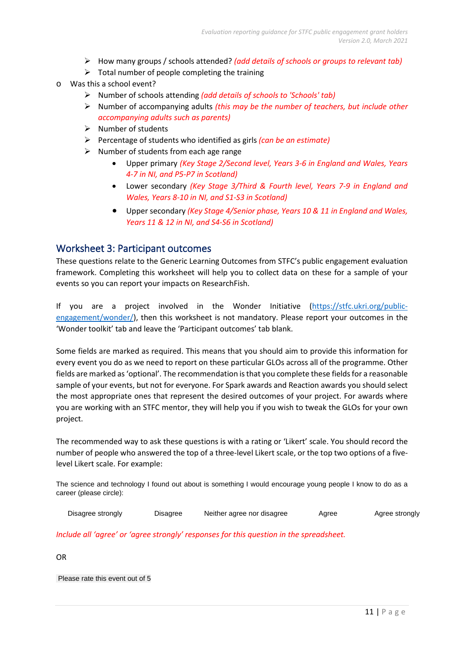- How many groups / schools attended? *(add details of schools or groups to relevant tab)*
- $\triangleright$  Total number of people completing the training
- o Was this a school event?
	- Number of schools attending *(add details of schools to 'Schools' tab)*
	- Number of accompanying adults *(this may be the number of teachers, but include other accompanying adults such as parents)*
	- $\triangleright$  Number of students
	- Percentage of students who identified as girls *(can be an estimate)*
	- $\triangleright$  Number of students from each age range
		- Upper primary *(Key Stage 2/Second level, Years 3-6 in England and Wales, Years 4-7 in NI, and P5-P7 in Scotland)*
		- Lower secondary *(Key Stage 3/Third & Fourth level, Years 7-9 in England and Wales, Years 8-10 in NI, and S1-S3 in Scotland)*
		- Upper secondary *(Key Stage 4/Senior phase, Years 10 & 11 in England and Wales, Years 11 & 12 in NI, and S4-S6 in Scotland)*

### Worksheet 3: Participant outcomes

These questions relate to the Generic Learning Outcomes from STFC's public engagement evaluation framework. Completing this worksheet will help you to collect data on these for a sample of your events so you can report your impacts on ResearchFish.

If you are a project involved in the Wonder Initiative [\(https://stfc.ukri.org/public](https://stfc.ukri.org/public-engagement/wonder/)[engagement/wonder/\)](https://stfc.ukri.org/public-engagement/wonder/), then this worksheet is not mandatory. Please report your outcomes in the 'Wonder toolkit' tab and leave the 'Participant outcomes' tab blank.

Some fields are marked as required. This means that you should aim to provide this information for every event you do as we need to report on these particular GLOs across all of the programme. Other fields are marked as'optional'. The recommendation is that you complete these fields for a reasonable sample of your events, but not for everyone. For Spark awards and Reaction awards you should select the most appropriate ones that represent the desired outcomes of your project. For awards where you are working with an STFC mentor, they will help you if you wish to tweak the GLOs for your own project.

The recommended way to ask these questions is with a rating or 'Likert' scale. You should record the number of people who answered the top of a three-level Likert scale, or the top two options of a fivelevel Likert scale. For example:

The science and technology I found out about is something I would encourage young people I know to do as a career (please circle):

| Disagree strongly | Disagree | Neither agree nor disagree | Agree | Agree strongly |
|-------------------|----------|----------------------------|-------|----------------|
|                   |          |                            |       |                |

*Include all 'agree' or 'agree strongly' responses for this question in the spreadsheet.*

OR

Please rate this event out of 5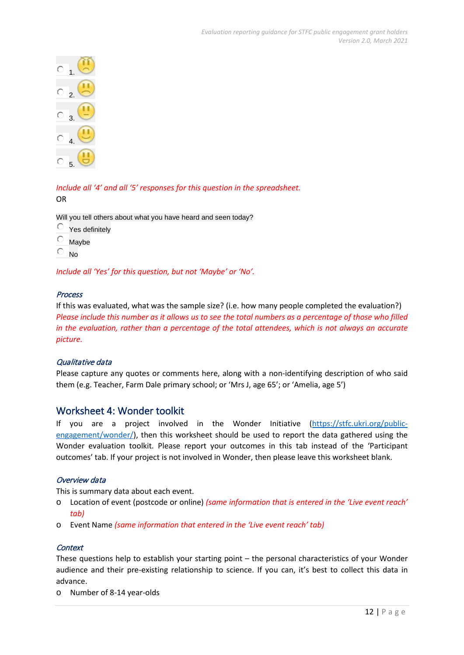

*Include all '4' and all '5' responses for this question in the spreadsheet.* OR

Will you tell others about what you have heard and seen today?

- $\circ$  Yes definitely
- $\circ$  Maybe
- $\overline{\circ}$  No

*Include all 'Yes' for this question, but not 'Maybe' or 'No'.*

#### Process

If this was evaluated, what was the sample size? (i.e. how many people completed the evaluation?) *Please include this number as it allows us to see the total numbers as a percentage of those who filled in the evaluation, rather than a percentage of the total attendees, which is not always an accurate picture.*

#### Qualitative data

Please capture any quotes or comments here, along with a non-identifying description of who said them (e.g. Teacher, Farm Dale primary school; or 'Mrs J, age 65'; or 'Amelia, age 5')

#### Worksheet 4: Wonder toolkit

If you are a project involved in the Wonder Initiative [\(https://stfc.ukri.org/public](https://stfc.ukri.org/public-engagement/wonder/)[engagement/wonder/\)](https://stfc.ukri.org/public-engagement/wonder/), then this worksheet should be used to report the data gathered using the Wonder evaluation toolkit. Please report your outcomes in this tab instead of the 'Participant outcomes' tab. If your project is not involved in Wonder, then please leave this worksheet blank.

#### Overview data

This is summary data about each event.

- o Location of event (postcode or online) *(same information that is entered in the 'Live event reach' tab)*
- o Event Name *(same information that entered in the 'Live event reach' tab)*

#### **Context**

These questions help to establish your starting point – the personal characteristics of your Wonder audience and their pre-existing relationship to science. If you can, it's best to collect this data in advance.

o Number of 8-14 year-olds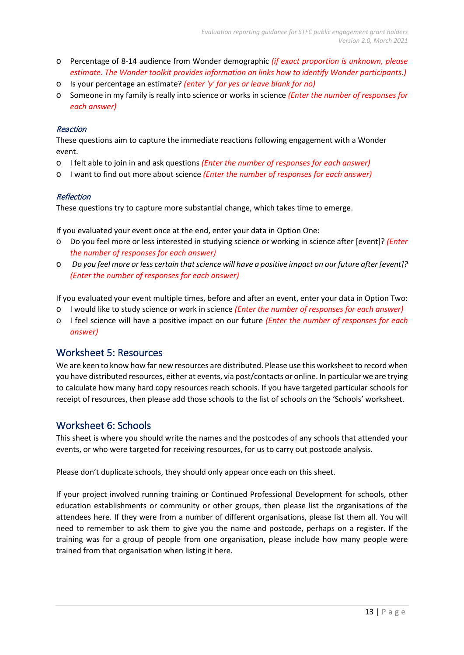- o Percentage of 8-14 audience from Wonder demographic *(if exact proportion is unknown, please estimate. The Wonder toolkit provides information on links how to identify Wonder participants.)*
- o Is your percentage an estimate? *(enter 'y' for yes or leave blank for no)*
- o Someone in my family is really into science or works in science *(Enter the number of responses for each answer)*

#### Reaction

These questions aim to capture the immediate reactions following engagement with a Wonder event.

- o I felt able to join in and ask questions *(Enter the number of responses for each answer)*
- o I want to find out more about science *(Enter the number of responses for each answer)*

#### **Reflection**

These questions try to capture more substantial change, which takes time to emerge.

If you evaluated your event once at the end, enter your data in Option One:

- o Do you feel more or less interested in studying science or working in science after [event]? *(Enter the number of responses for each answer)*
- o *Do you feel more or less certain that science will have a positive impact on our future after [event]? (Enter the number of responses for each answer)*

If you evaluated your event multiple times, before and after an event, enter your data in Option Two:

- o I would like to study science or work in science *(Enter the number of responses for each answer)*
- o I feel science will have a positive impact on our future *(Enter the number of responses for each answer)*

## Worksheet 5: Resources

We are keen to know how far new resources are distributed. Please use this worksheet to record when you have distributed resources, either at events, via post/contacts or online. In particular we are trying to calculate how many hard copy resources reach schools. If you have targeted particular schools for receipt of resources, then please add those schools to the list of schools on the 'Schools' worksheet.

## Worksheet 6: Schools

This sheet is where you should write the names and the postcodes of any schools that attended your events, or who were targeted for receiving resources, for us to carry out postcode analysis.

Please don't duplicate schools, they should only appear once each on this sheet.

If your project involved running training or Continued Professional Development for schools, other education establishments or community or other groups, then please list the organisations of the attendees here. If they were from a number of different organisations, please list them all. You will need to remember to ask them to give you the name and postcode, perhaps on a register. If the training was for a group of people from one organisation, please include how many people were trained from that organisation when listing it here.